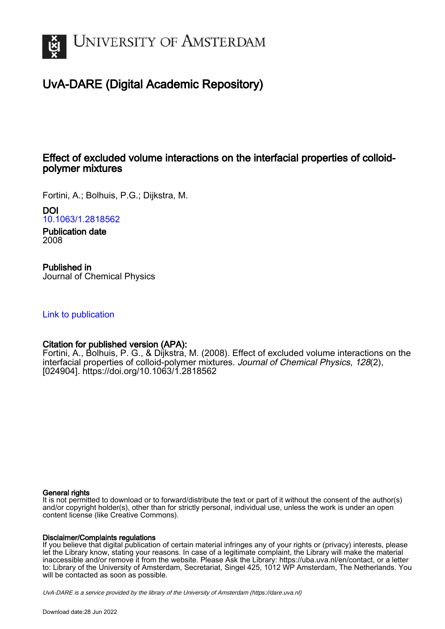

# UvA-DARE (Digital Academic Repository)

# Effect of excluded volume interactions on the interfacial properties of colloidpolymer mixtures

Fortini, A.; Bolhuis, P.G.; Dijkstra, M.

DOI [10.1063/1.2818562](https://doi.org/10.1063/1.2818562)

Publication date 2008

Published in Journal of Chemical Physics

### [Link to publication](https://dare.uva.nl/personal/pure/en/publications/effect-of-excluded-volume-interactions-on-the-interfacial-properties-of-colloidpolymer-mixtures(ea49e754-c8ce-48d4-9910-53a854dbbe3c).html)

### Citation for published version (APA):

Fortini, A., Bolhuis, P. G., & Dijkstra, M. (2008). Effect of excluded volume interactions on the interfacial properties of colloid-polymer mixtures. Journal of Chemical Physics, 128(2), [024904].<https://doi.org/10.1063/1.2818562>

#### General rights

It is not permitted to download or to forward/distribute the text or part of it without the consent of the author(s) and/or copyright holder(s), other than for strictly personal, individual use, unless the work is under an open content license (like Creative Commons).

#### Disclaimer/Complaints regulations

If you believe that digital publication of certain material infringes any of your rights or (privacy) interests, please let the Library know, stating your reasons. In case of a legitimate complaint, the Library will make the material inaccessible and/or remove it from the website. Please Ask the Library: https://uba.uva.nl/en/contact, or a letter to: Library of the University of Amsterdam, Secretariat, Singel 425, 1012 WP Amsterdam, The Netherlands. You will be contacted as soon as possible.

UvA-DARE is a service provided by the library of the University of Amsterdam (http*s*://dare.uva.nl)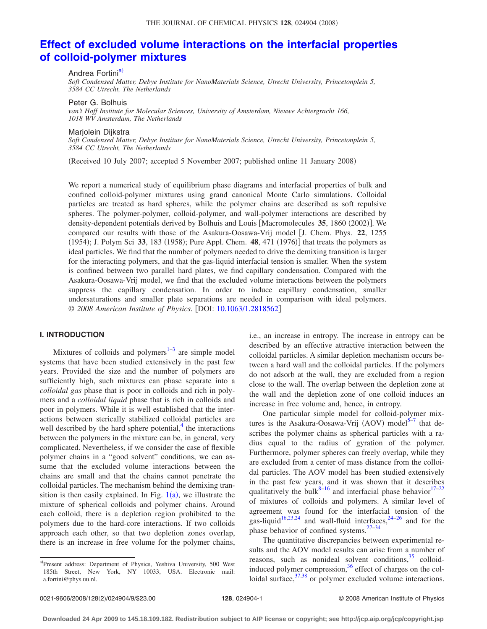# **[Effect of excluded volume interactions on the interfacial properties](http://dx.doi.org/10.1063/1.2818562) [of colloid-polymer mixtures](http://dx.doi.org/10.1063/1.2818562)**

Andrea Fortini<sup>a)</sup>

*Soft Condensed Matter, Debye Institute for NanoMaterials Science, Utrecht University, Princetonplein 5, 3584 CC Utrecht, The Netherlands*

Peter G. Bolhuis

*van't Hoff Institute for Molecular Sciences, University of Amsterdam, Nieuwe Achtergracht 166, 1018 WV Amsterdam, The Netherlands*

Marjolein Dijkstra

*Soft Condensed Matter, Debye Institute for NanoMaterials Science, Utrecht University, Princetonplein 5, 3584 CC Utrecht, The Netherlands*

Received 10 July 2007; accepted 5 November 2007; published online 11 January 2008-

We report a numerical study of equilibrium phase diagrams and interfacial properties of bulk and confined colloid-polymer mixtures using grand canonical Monte Carlo simulations. Colloidal particles are treated as hard spheres, while the polymer chains are described as soft repulsive spheres. The polymer-polymer, colloid-polymer, and wall-polymer interactions are described by density-dependent potentials derived by Bolhuis and Louis [Macromolecules 35, 1860 (2002)]. We compared our results with those of the Asakura-Oosawa-Vrij model J. Chem. Phys. **22**, 1255 (1954); J. Polym Sci 33, 183 (1958); Pure Appl. Chem. 48, 471 (1976)] that treats the polymers as ideal particles. We find that the number of polymers needed to drive the demixing transition is larger for the interacting polymers, and that the gas-liquid interfacial tension is smaller. When the system is confined between two parallel hard plates, we find capillary condensation. Compared with the Asakura-Oosawa-Vrij model, we find that the excluded volume interactions between the polymers suppress the capillary condensation. In order to induce capillary condensation, smaller undersaturations and smaller plate separations are needed in comparison with ideal polymers. © *2008 American Institute of Physics*. DOI: [10.1063/1.2818562](http://dx.doi.org/10.1063/1.2818562)

#### **I. INTRODUCTION**

Mixtures of colloids and polymers $1-3$  are simple model systems that have been studied extensively in the past few years. Provided the size and the number of polymers are sufficiently high, such mixtures can phase separate into a *colloidal gas* phase that is poor in colloids and rich in polymers and a *colloidal liquid* phase that is rich in colloids and poor in polymers. While it is well established that the interactions between sterically stabilized colloidal particles are well described by the hard sphere potential, $4$  the interactions between the polymers in the mixture can be, in general, very complicated. Nevertheless, if we consider the case of flexible polymer chains in a "good solvent" conditions, we can assume that the excluded volume interactions between the chains are small and that the chains cannot penetrate the colloidal particles. The mechanism behind the demixing transition is then easily explained. In Fig.  $1(a)$  $1(a)$ , we illustrate the mixture of spherical colloids and polymer chains. Around each colloid, there is a depletion region prohibited to the polymers due to the hard-core interactions. If two colloids approach each other, so that two depletion zones overlap, there is an increase in free volume for the polymer chains,

i.e., an increase in entropy. The increase in entropy can be described by an effective attractive interaction between the colloidal particles. A similar depletion mechanism occurs between a hard wall and the colloidal particles. If the polymers do not adsorb at the wall, they are excluded from a region close to the wall. The overlap between the depletion zone at the wall and the depletion zone of one colloid induces an increase in free volume and, hence, in entropy.

One particular simple model for colloid-polymer mixtures is the Asakura-Oosawa-Vrij (AOV) model<sup>5-7</sup> that describes the polymer chains as spherical particles with a radius equal to the radius of gyration of the polymer. Furthermore, polymer spheres can freely overlap, while they are excluded from a center of mass distance from the colloidal particles. The AOV model has been studied extensively in the past few years, and it was shown that it describes qualitatively the bulk $8-16$  $8-16$  and interfacial phase behavior  $17-22$ of mixtures of colloids and polymers. A similar level of agreement was found for the interfacial tension of the gas-liquid<sup>16[,23,](#page-8-9)[24](#page-8-10)</sup> and wall-fluid interfaces,  $24-26$  and for the phase behavior of confined systems. $27-34$  $27-34$ 

The quantitative discrepancies between experimental results and the AOV model results can arise from a number of reasons, such as nonideal solvent conditions,  $35$  colloidinduced polymer compression, $36$  effect of charges on the colloidal surface,  $37,38$  $37,38$  or polymer excluded volume interactions.

<span id="page-1-0"></span>a)Present address: Department of Physics, Yeshiva University, 500 West 185th Street, New York, NY 10033, USA. Electronic mail: a.fortini@phys.uu.nl.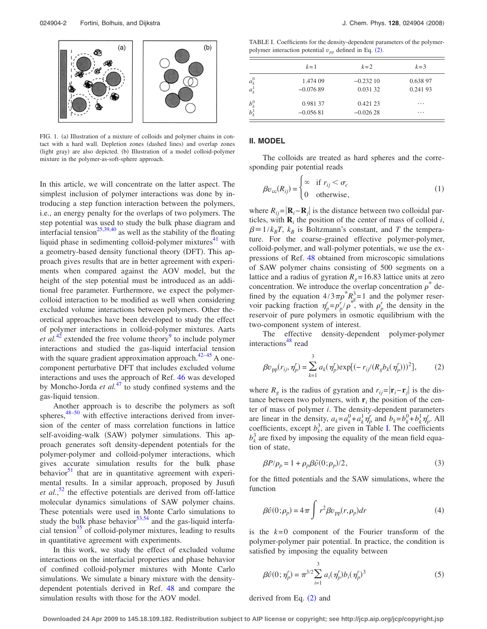<span id="page-2-0"></span>

FIG. 1. (a) Illustration of a mixture of colloids and polymer chains in contact with a hard wall. Depletion zones (dashed lines) and overlap zones (light gray) are also depicted. (b) Illustration of a model colloid-polymer mixture in the polymer-as-soft-sphere approach.

In this article, we will concentrate on the latter aspect. The simplest inclusion of polymer interactions was done by introducing a step function interaction between the polymers, i.e., an energy penalty for the overlaps of two polymers. The step potential was used to study the bulk phase diagram and interfacial tension<sup>25,[39,](#page-8-19)[40](#page-8-20)</sup> as well as the stability of the floating liquid phase in sedimenting colloid-polymer mixtures $41$  with a geometry-based density functional theory (DFT). This approach gives results that are in better agreement with experiments when compared against the AOV model, but the height of the step potential must be introduced as an additional free parameter. Furthermore, we expect the polymercolloid interaction to be modified as well when considering excluded volume interactions between polymers. Other theoretical approaches have been developed to study the effect of polymer interactions in colloid-polymer mixtures. Aarts *et al.*<sup>[42](#page-8-22)</sup> extended the free volume theory<sup>9</sup> to include polymer interactions and studied the gas-liquid interfacial tension with the square gradient approximation approach. $42-45$  $42-45$  A onecomponent perturbative DFT that includes excluded volume interactions and uses the approach of Ref. [46](#page-8-25) was developed by Moncho-Jorda *et al.*[47](#page-8-26) to study confined systems and the gas-liquid tension.

Another approach is to describe the polymers as soft spheres, $48-50$  with effective interactions derived from inversion of the center of mass correlation functions in lattice self-avoiding-walk (SAW) polymer simulations. This approach generates soft density-dependent potentials for the polymer-polymer and colloid-polymer interactions, which gives accurate simulation results for the bulk phase behavior $51$  that are in quantitative agreement with experimental results. In a similar approach, proposed by Jusufi *et al.*, [52](#page-8-30) the effective potentials are derived from off-lattice molecular dynamics simulations of SAW polymer chains. These potentials were used in Monte Carlo simulations to study the bulk phase behavior $53,54$  $53,54$  and the gas-liquid interfacial tension $55$  of colloid-polymer mixtures, leading to results in quantitative agreement with experiments.

In this work, we study the effect of excluded volume interactions on the interfacial properties and phase behavior of confined colloid-polymer mixtures with Monte Carlo simulations. We simulate a binary mixture with the densitydependent potentials derived in Ref. [48](#page-8-27) and compare the simulation results with those for the AOV model.

<span id="page-2-1"></span>TABLE I. Coefficients for the density-dependent parameters of the polymerpolymer interaction potential  $v_{pp}$  defined in Eq. ([2](#page-2-2)).

|                    | $k=1$      | $k=2$      | $k=3$    |
|--------------------|------------|------------|----------|
| $a_k^0$<br>$a_k^1$ | 1.474 09   | $-0.23210$ | 0.638 97 |
|                    | $-0.07689$ | 0.031 32   | 0.24193  |
| $b_k^0$            | 0.981 37   | 0.421 23   | .        |
|                    | $-0.05681$ | $-0.02628$ | $\cdots$ |

#### **II. MODEL**

The colloids are treated as hard spheres and the corresponding pair potential reads

$$
\beta v_{\rm cc}(R_{ij}) = \begin{cases} \infty & \text{if } r_{ij} < \sigma_c \\ 0 & \text{otherwise,} \end{cases}
$$
 (1)

where  $R_{ij} = |\mathbf{R}_i - \mathbf{R}_j|$  is the distance between two colloidal particles, with  $\mathbf{R}_i$  the position of the center of mass of colloid *i*,  $\beta = 1/k_B T$ ,  $k_B$  is Boltzmann's constant, and *T* the temperature. For the coarse-grained effective polymer-polymer, colloid-polymer, and wall-polymer potentials, we use the expressions of Ref. [48](#page-8-27) obtained from microscopic simulations of SAW polymer chains consisting of 500 segments on a lattice and a radius of gyration  $R<sub>g</sub> = 16.83$  lattice units at zero concentration. We introduce the overlap concentration  $\rho^*$  defined by the equation  $4/3\pi\rho^* R_g^3 = 1$  and the polymer reservoir packing fraction  $\eta_p^r = p_p^r / \rho^*$ , with  $\rho_p^r$  the density in the reservoir of pure polymers in osmotic equilibrium with the two-component system of interest.

The effective density-dependent polymer-polymer interactions<sup>48</sup> read

<span id="page-2-2"></span>
$$
\beta v_{\rm pp}(r_{ij}, \eta'_p) = \sum_{k=1}^3 a_k(\eta'_p) \exp[(-r_{ij}/(R_g b_k(\eta'_p)))^2],\tag{2}
$$

where  $R_g$  is the radius of gyration and  $r_{ij} = |\mathbf{r}_i - \mathbf{r}_j|$  is the distance between two polymers, with  $\mathbf{r}_i$  the position of the center of mass of polymer *i*. The density-dependent parameters are linear in the density,  $a_k = a_k^0 + a_k^1 \eta_p^r$  and  $b_k = b_k^0 + b_k^1 \eta_p^r$ . All coefficients, except  $b_k^3$ , are given in Table [I.](#page-2-1) The coefficients  $b_k^3$  are fixed by imposing the equality of the mean field equation of state,

$$
\beta P/\rho_p = 1 + \rho_p \beta \hat{v}(0; \rho_p)/2, \qquad (3)
$$

<span id="page-2-3"></span>for the fitted potentials and the SAW simulations, where the function

$$
\beta \hat{v}(0; \rho_p) = 4\pi \int r^2 \beta v_{\rm pp}(r, \rho_p) dr \tag{4}
$$

is the  $k=0$  component of the Fourier transform of the polymer-polymer pair potential. In practice, the condition is satisfied by imposing the equality between

$$
\beta \hat{v}(0; \eta'_p) = \pi^{3/2} \sum_{i=1}^3 a_i (\eta'_p) b_i (\eta'_p)^3
$$
 (5)

derived from Eq.  $(2)$  $(2)$  $(2)$  and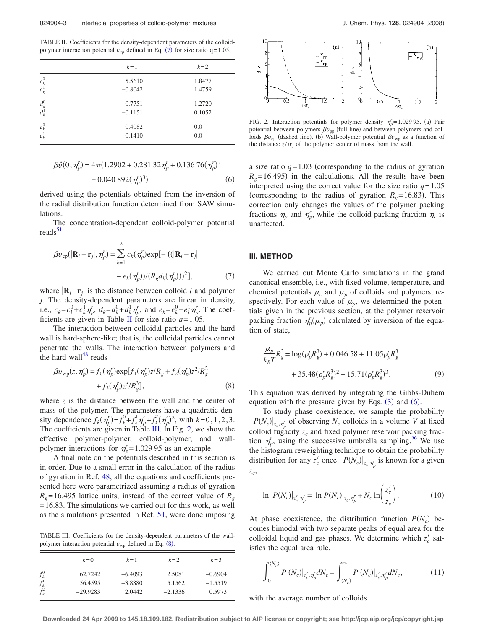<span id="page-3-0"></span>TABLE II. Coefficients for the density-dependent parameters of the colloidpolymer interaction potential  $v_{cp}$  defined in Eq. ([7](#page-3-4)) for size ratio q=1.05.

|                    | $k=1$     | $k=2$  |
|--------------------|-----------|--------|
| $c_k^0\\ c_k^1$    | 5.5610    | 1.8477 |
|                    | $-0.8042$ | 1.4759 |
| $d^0_k\\ d^1_k$    | 0.7751    | 1.2720 |
|                    | $-0.1151$ | 0.1052 |
| $e_k^0$<br>$e_k^1$ | 0.4082    | 0.0    |
|                    | 0.1410    | 0.0    |

<span id="page-3-3"></span>
$$
\beta \hat{v}(0; \eta_p^r) = 4 \pi (1.2902 + 0.281 \ 32 \eta_p^r + 0.136 \ 76 (\eta_p^r)^2 -0.040 \ 892 (\eta_p^r)^3)
$$
 (6)

derived using the potentials obtained from the inversion of the radial distribution function determined from SAW simulations.

The concentration-dependent colloid-polymer potential reads<sup>3</sup>

<span id="page-3-4"></span>
$$
\beta v_{\rm cp}(|\mathbf{R}_i - \mathbf{r}_j|, \eta'_p) = \sum_{k=1}^2 c_k(\eta'_p) \exp[-((|\mathbf{R}_i - \mathbf{r}_j| - \varrho_k(\eta'_p)) / (R_g d_k(\eta'_p)))^2],\tag{7}
$$

where  $\left| \mathbf{R}_i - \mathbf{r}_i \right|$  is the distance between colloid *i* and polymer *j*. The density-dependent parameters are linear in density, i.e.,  $c_k = c_k^0 + c_k^1 \eta_p^r$ ,  $d_k = d_k^0 + d_k^1 \eta_p^r$ , and  $e_k = e_k^0 + e_k^1 \eta_p^r$ . The coef-ficients are given in Table [II](#page-3-0) for size ratio  $q = 1.05$ .

The interaction between colloidal particles and the hard wall is hard-sphere-like; that is, the colloidal particles cannot penetrate the walls. The interaction between polymers and the hard wall $48$  reads

<span id="page-3-5"></span>
$$
\beta v_{\rm wp}(z, \eta_p') = f_0(\eta_p') \exp[f_1(\eta_p') z/R_g + f_2(\eta_p') z^2/R_g^2 + f_3(\eta_p') z^3/R_g^3],
$$
\n(8)

where  $\zeta$  is the distance between the wall and the center of mass of the polymer. The parameters have a quadratic density dependence  $f_k(\eta_p^r) = f_k^0 + f_k^1 \eta_p^r + f_k^2 (\eta_p^r)^2$ , with  $k = 0, 1, 2, 3$ . The coefficients are given in Table [III.](#page-3-1) In Fig. [2,](#page-3-2) we show the effective polymer-polymer, colloid-polymer, and wallpolymer interactions for  $\eta_p^r = 1.02995$  as an example.

A final note on the potentials described in this section is in order. Due to a small error in the calculation of the radius of gyration in Ref. [48,](#page-8-27) all the equations and coefficients presented here were parametrized assuming a radius of gyration  $R<sub>g</sub>$  = 16.495 lattice units, instead of the correct value of  $R<sub>g</sub>$ = 16.83. The simulations we carried out for this work, as well as the simulations presented in Ref. [51,](#page-8-29) were done imposing

<span id="page-3-1"></span>TABLE III. Coefficients for the density-dependent parameters of the wallpolymer interaction potential  $v_{wp}$  defined in Eq. ([8](#page-3-5)).

|                                              | $k=0$      | $k=1$     | $k=2$     | $k = 3$   |
|----------------------------------------------|------------|-----------|-----------|-----------|
| $f_k^0$                                      | 62.7242    | $-6.4093$ | 2.5081    | $-0.6904$ |
|                                              | 56.4595    | $-3.8880$ | 5.1562    | $-1.5519$ |
| $\begin{array}{c} f_k^1\\ f_k^2 \end{array}$ | $-29.9283$ | 2.0442    | $-2.1336$ | 0.5973    |

<span id="page-3-2"></span>

FIG. 2. Interaction potentials for polymer density  $\eta_p^r = 1.02995$ . (a) Pair potential between polymers  $\beta v_{\rm pp}$  (full line) and between polymers and colloids  $\beta v_{\rm cp}$  (dashed line). (b) Wall-polymer potential  $\beta v_{\rm wp}$  as a function of the distance  $z/\sigma_c$  of the polymer center of mass from the wall.

a size ratio  $q=1.03$  (corresponding to the radius of gyration  $R<sub>g</sub>$ =16.495) in the calculations. All the results have been interpreted using the correct value for the size ratio  $q=1.05$ (corresponding to the radius of gyration  $R_g = 16.83$ ). This correction only changes the values of the polymer packing fractions  $\eta_p$  and  $\eta'_p$ , while the colloid packing fraction  $\eta_c$  is unaffected.

#### **III. METHOD**

We carried out Monte Carlo simulations in the grand canonical ensemble, i.e., with fixed volume, temperature, and chemical potentials  $\mu_c$  and  $\mu_p$  of colloids and polymers, respectively. For each value of  $\mu_p$ , we determined the potentials given in the previous section, at the polymer reservoir packing fraction  $\eta_p^r(\mu_p)$  calculated by inversion of the equation of state,

<span id="page-3-7"></span>
$$
\frac{\mu_p}{k_B T} R_g^3 = \log(\rho_p^r R_g^3) + 0.04658 + 11.05 \rho_p^r R_g^3
$$
  
+ 35.48 $(\rho_p^r R_g^3)^2$  – 15.71 $(\rho_p^r R_g^3)^3$ . (9)

This equation was derived by integrating the Gibbs-Duhem equation with the pressure given by Eqs.  $(3)$  $(3)$  $(3)$  and  $(6)$  $(6)$  $(6)$ .

To study phase coexistence, we sample the probability  $P(N_c)|_{z_c, \eta_p'}$  of observing  $N_c$  colloids in a volume *V* at fixed colloid fugacity  $z_c$  and fixed polymer reservoir packing fraction  $\eta_p^r$ , using the successive umbrella sampling.<sup>56</sup> We use the histogram reweighting technique to obtain the probability distribution for any  $z_c$  once  $P(N_c)|_{z_c, \eta_p}$  is known for a given *zc*,

<span id="page-3-6"></span>
$$
\ln P(N_c)|_{z_c', \eta_p'} = \ln P(N_c)|_{z_c, \eta_p'} + N_c \ln \left( \frac{z_c'}{z_c} \right). \tag{10}
$$

At phase coexistence, the distribution function  $P(N_c)$  becomes bimodal with two separate peaks of equal area for the colloidal liquid and gas phases. We determine which  $z_c$  satisfies the equal area rule,

$$
\int_{0}^{\langle N_c \rangle} P\left(N_c\right)|_{z_c',\eta_p'} dN_c = \int_{\langle N_c \rangle}^{\infty} P\left(N_c\right)|_{z_c',\eta_p'} dN_c, \tag{11}
$$

with the average number of colloids

**Downloaded 24 Apr 2009 to 145.18.109.182. Redistribution subject to AIP license or copyright; see http://jcp.aip.org/jcp/copyright.jsp**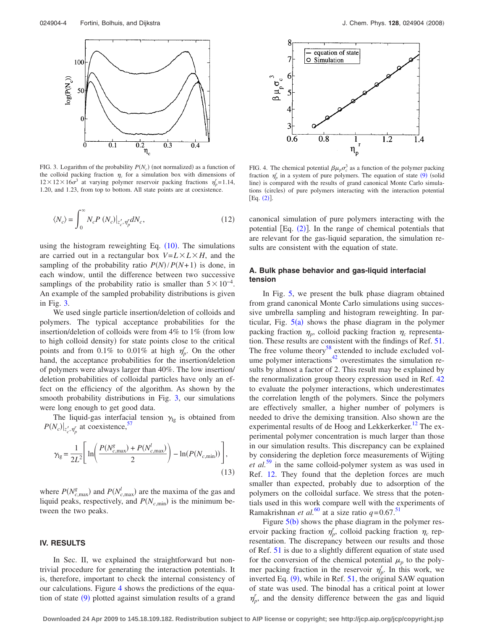<span id="page-4-0"></span>

FIG. 3. Logarithm of the probability  $P(N_c)$  (not normalized) as a function of the colloid packing fraction  $\eta_c$  for a simulation box with dimensions of  $12 \times 12 \times 16\sigma^3$  at varying polymer reservoir packing fractions  $\eta_p^r = 1.14$ , 1.20, and 1.23, from top to bottom. All state points are at coexistence.

$$
\langle N_c \rangle = \int_0^\infty N_c P\left(N_c\right)|_{z_c', \eta_\rho'} dN_c,\tag{12}
$$

using the histogram reweighting Eq.  $(10)$  $(10)$  $(10)$ . The simulations are carried out in a rectangular box  $V = L \times L \times H$ , and the sampling of the probability ratio  $P(N)/P(N+1)$  is done, in each window, until the difference between two successive samplings of the probability ratio is smaller than  $5 \times 10^{-4}$ . An example of the sampled probability distributions is given in Fig. [3.](#page-4-0)

We used single particle insertion/deletion of colloids and polymers. The typical acceptance probabilities for the insertion/deletion of colloids were from  $4\%$  to  $1\%$  (from low to high colloid density) for state points close to the critical points and from 0.1% to 0.01% at high  $\eta_p^r$ . On the other hand, the acceptance probabilities for the insertion/deletion of polymers were always larger than 40%. The low insertion/ deletion probabilities of colloidal particles have only an effect on the efficiency of the algorithm. As shown by the smooth probability distributions in Fig. [3,](#page-4-0) our simulations were long enough to get good data.

The liquid-gas interfacial tension  $\gamma_{lg}$  is obtained from  $P(N_c)|_{z_c', \eta_p'}$  at coexistence,<sup>57</sup>

$$
\gamma_{\rm lg} = \frac{1}{2L^2} \Bigg[ \ln \Bigg( \frac{P(N_{c,\rm max}^g) + P(N_{c,\rm max}^l)}{2} \Bigg) - \ln(P(N_{c,\rm min})) \Bigg],\tag{13}
$$

where  $P(N_{c,\text{max}}^g)$  and  $P(N_{c,\text{max}}^l)$  are the maxima of the gas and liquid peaks, respectively, and  $P(N_{c,\text{min}})$  is the minimum between the two peaks.

#### **IV. RESULTS**

In Sec. II, we explained the straightforward but nontrivial procedure for generating the interaction potentials. It is, therefore, important to check the internal consistency of our calculations. Figure [4](#page-4-1) shows the predictions of the equa-tion of state ([9](#page-3-7)) plotted against simulation results of a grand

<span id="page-4-1"></span>

FIG. 4. The chemical potential  $\beta\mu_p \sigma_c^3$  as a function of the polymer packing fraction  $\eta_p^r$  in a system of pure polymers. The equation of state ([9](#page-3-7)) (solid line) is compared with the results of grand canonical Monte Carlo simulations (circles) of pure polymers interacting with the interaction potential  $[Eq. (2)].$  $[Eq. (2)].$  $[Eq. (2)].$ 

canonical simulation of pure polymers interacting with the potential  $[Eq. (2)]$  $[Eq. (2)]$  $[Eq. (2)]$ . In the range of chemical potentials that are relevant for the gas-liquid separation, the simulation results are consistent with the equation of state.

#### **A. Bulk phase behavior and gas-liquid interfacial tension**

In Fig. [5,](#page-5-0) we present the bulk phase diagram obtained from grand canonical Monte Carlo simulations using successive umbrella sampling and histogram reweighting. In particular, Fig.  $5(a)$  $5(a)$  shows the phase diagram in the polymer packing fraction  $\eta_p$ , colloid packing fraction  $\eta_c$  representation. These results are consistent with the findings of Ref. [51.](#page-8-29) The free volume theory<sup>58</sup> extended to include excluded volume polymer interactions<sup>42</sup> overestimates the simulation results by almost a factor of 2. This result may be explained by the renormalization group theory expression used in Ref. [42](#page-8-22) to evaluate the polymer interactions, which underestimates the correlation length of the polymers. Since the polymers are effectively smaller, a higher number of polymers is needed to drive the demixing transition. Also shown are the experimental results of de Hoog and Lekkerkerker.<sup>12</sup> The experimental polymer concentration is much larger than those in our simulation results. This discrepancy can be explained by considering the depletion force measurements of Wijting *et al.*[59](#page-9-3) in the same colloid-polymer system as was used in Ref. [12.](#page-8-34) They found that the depletion forces are much smaller than expected, probably due to adsorption of the polymers on the colloidal surface. We stress that the potentials used in this work compare well with the experiments of Ramakrishnan *et al.*<sup>[60](#page-9-4)</sup> at a size ratio  $q=0.67$ .<sup>51</sup>

Figure  $5(b)$  $5(b)$  shows the phase diagram in the polymer reservoir packing fraction  $\eta_p^r$ , colloid packing fraction  $\eta_c$  representation. The discrepancy between our results and those of Ref. [51](#page-8-29) is due to a slightly different equation of state used for the conversion of the chemical potential  $\mu_p$  to the polymer packing fraction in the reservoir  $\eta_p^r$ . In this work, we inverted Eq.  $(9)$  $(9)$  $(9)$ , while in Ref. [51,](#page-8-29) the original SAW equation of state was used. The binodal has a critical point at lower  $\eta_p^r$ , and the density difference between the gas and liquid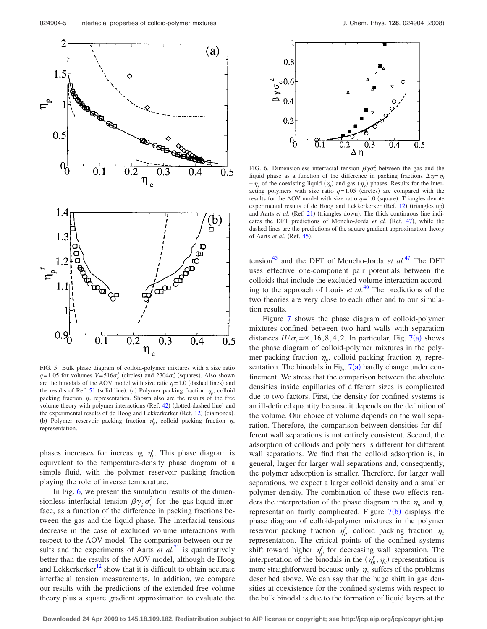<span id="page-5-0"></span>

FIG. 5. Bulk phase diagram of colloid-polymer mixtures with a size ratio  $q=1.05$  for volumes  $V=516\sigma_c^3$  (circles) and  $2304\sigma_c^3$  (squares). Also shown are the binodals of the AOV model with size ratio  $q=1.0$  (dashed lines) and the results of Ref. [51](#page-8-29) (solid line). (a) Polymer packing fraction  $\eta_p$ , colloid packing fraction  $\eta_c$  representation. Shown also are the results of the free volume theory with polymer interactions (Ref. [42](#page-8-22)) (dotted-dashed line) and the experimental results of de Hoog and Lekkerkerker (Ref. [12](#page-8-34)) (diamonds). (b) Polymer reservoir packing fraction  $\eta_p^r$ , colloid packing fraction  $\eta_c$ representation.

phases increases for increasing  $\eta_p^r$ . This phase diagram is equivalent to the temperature-density phase diagram of a simple fluid, with the polymer reservoir packing fraction playing the role of inverse temperature.

In Fig. [6,](#page-5-1) we present the simulation results of the dimensionless interfacial tension  $\beta \gamma_{gl} \sigma_c^2$  for the gas-liquid interface, as a function of the difference in packing fractions between the gas and the liquid phase. The interfacial tensions decrease in the case of excluded volume interactions with respect to the AOV model. The comparison between our results and the experiments of Aarts  $et al.<sup>21</sup>$  $et al.<sup>21</sup>$  $et al.<sup>21</sup>$  is quantitatively better than the results of the AOV model, although de Hoog and Lekkerkerker<sup>12</sup> show that it is difficult to obtain accurate interfacial tension measurements. In addition, we compare our results with the predictions of the extended free volume theory plus a square gradient approximation to evaluate the

<span id="page-5-1"></span>

FIG. 6. Dimensionless interfacial tension  $\beta \gamma \sigma_c^2$  between the gas and the liquid phase as a function of the difference in packing fractions  $\Delta \eta = \eta_l$  $-\eta_g$  of the coexisting liquid  $(\eta_l)$  and gas  $(\eta_g)$  phases. Results for the interacting polymers with size ratio  $q=1.05$  (circles) are compared with the results for the AOV model with size ratio  $q=1.0$  (square). Triangles denote experimental results of de Hoog and Lekkerkerker (Ref. [12](#page-8-34)) (triangles up) and Aarts et al. (Ref. [21](#page-8-35)) (triangles down). The thick continuous line indi-cates the DFT predictions of Moncho-Jorda et al. (Ref. [47](#page-8-26)), while the dashed lines are the predictions of the square gradient approximation theory of Aarts et al. (Ref. [45](#page-8-24)).

tension<sup>45</sup> and the DFT of Moncho-Jorda *et al.*<sup>[47](#page-8-26)</sup> The DFT uses effective one-component pair potentials between the colloids that include the excluded volume interaction according to the approach of Louis *et al.*[46](#page-8-25) The predictions of the two theories are very close to each other and to our simulation results.

Figure [7](#page-6-0) shows the phase diagram of colloid-polymer mixtures confined between two hard walls with separation distances  $H/\sigma_c = \infty$ , 16, 8, 4, 2. In particular, Fig. [7](#page-6-0)(a) shows the phase diagram of colloid-polymer mixtures in the polymer packing fraction  $\eta_p$ , colloid packing fraction  $\eta_c$  representation. The binodals in Fig.  $7(a)$  $7(a)$  hardly change under confinement. We stress that the comparison between the absolute densities inside capillaries of different sizes is complicated due to two factors. First, the density for confined systems is an ill-defined quantity because it depends on the definition of the volume. Our choice of volume depends on the wall separation. Therefore, the comparison between densities for different wall separations is not entirely consistent. Second, the adsorption of colloids and polymers is different for different wall separations. We find that the colloid adsorption is, in general, larger for larger wall separations and, consequently, the polymer adsorption is smaller. Therefore, for larger wall separations, we expect a larger colloid density and a smaller polymer density. The combination of these two effects renders the interpretation of the phase diagram in the  $\eta_p$  and  $\eta_c$ representation fairly complicated. Figure  $7(b)$  $7(b)$  displays the phase diagram of colloid-polymer mixtures in the polymer reservoir packing fraction  $\eta_p^r$ , colloid packing fraction  $\eta_c$ representation. The critical points of the confined systems shift toward higher  $\eta_p^r$  for decreasing wall separation. The interpretation of the binodals in the  $(\eta_p^r, \eta_c)$  representation is more straightforward because only  $\eta_c$  suffers of the problems described above. We can say that the huge shift in gas densities at coexistence for the confined systems with respect to the bulk binodal is due to the formation of liquid layers at the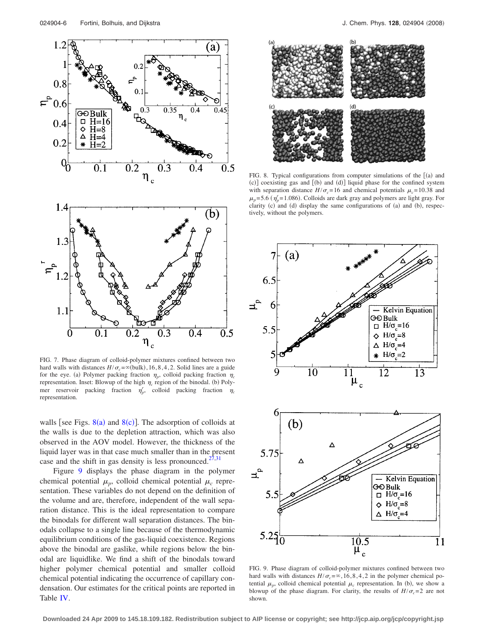<span id="page-6-0"></span>

FIG. 7. Phase diagram of colloid-polymer mixtures confined between two hard walls with distances  $H/\sigma_c = \infty$  (bulk), 16, 8, 4, 2. Solid lines are a guide for the eye. (a) Polymer packing fraction  $\eta_p$ , colloid packing fraction  $\eta_c$ representation. Inset: Blowup of the high  $\eta_c$  region of the binodal. (b) Polymer reservoir packing fraction  $\eta_p^r$ , colloid packing fraction  $\eta_c$ representation.

walls [see Figs.  $8(a)$  $8(a)$  and  $8(c)$ ]. The adsorption of colloids at the walls is due to the depletion attraction, which was also observed in the AOV model. However, the thickness of the liquid layer was in that case much smaller than in the present case and the shift in gas density is less pronounced.<sup>27,[31](#page-8-36)</sup>

Figure [9](#page-6-2) displays the phase diagram in the polymer chemical potential  $\mu_n$ , colloid chemical potential  $\mu_c$  representation. These variables do not depend on the definition of the volume and are, therefore, independent of the wall separation distance. This is the ideal representation to compare the binodals for different wall separation distances. The binodals collapse to a single line because of the thermodynamic equilibrium conditions of the gas-liquid coexistence. Regions above the binodal are gaslike, while regions below the binodal are liquidlike. We find a shift of the binodals toward higher polymer chemical potential and smaller colloid chemical potential indicating the occurrence of capillary condensation. Our estimates for the critical points are reported in Table [IV.](#page-7-0)

<span id="page-6-1"></span>

FIG. 8. Typical configurations from computer simulations of the  $[(a)$  and (c)] coexisting gas and [(b) and (d)] liquid phase for the confined system with separation distance  $H/\sigma_c = 16$  and chemical potentials  $\mu_c = 10.38$  and  $\mu_p$ = 5.6 ( $\eta_p$ = 1.086). Colloids are dark gray and polymers are light gray. For clarity (c) and (d) display the same configurations of (a) and (b), respectively, without the polymers.

<span id="page-6-2"></span>

FIG. 9. Phase diagram of colloid-polymer mixtures confined between two hard walls with distances  $H/\sigma_c = \infty$ , 16, 8, 4, 2 in the polymer chemical potential  $\mu_p$ , colloid chemical potential  $\mu_c$  representation. In (b), we show a blowup of the phase diagram. For clarity, the results of  $H/\sigma_c = 2$  are not shown.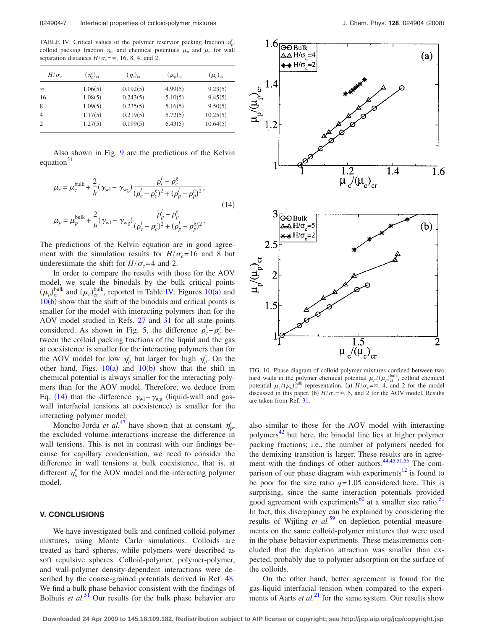<span id="page-7-0"></span>TABLE IV. Critical values of the polymer reservior packing fraction  $\eta_p^r$ , colloid packing fraction  $\eta_c$ , and chemical potentials  $\mu_p$  and  $\mu_c$  for wall separation distances  $H/\sigma_c = \infty$ , 16, 8, 4, and 2.

| $H/\sigma_c$   | $(\eta'_v)_{cr}$ | $(\eta_c)_{\rm cr}$ | $(\mu_p)_{\rm cr}$ | $(\mu_c)_{cr}$ |
|----------------|------------------|---------------------|--------------------|----------------|
| $\infty$       | 1.06(5)          | 0.192(5)            | 4.99(5)            | 9.23(5)        |
| 16             | 1.08(5)          | 0.243(5)            | 5.10(5)            | 9.45(5)        |
| 8              | 1.09(5)          | 0.235(5)            | 5.16(5)            | 9.50(5)        |
| $\overline{4}$ | 1.17(5)          | 0.219(5)            | 5.72(5)            | 10.25(5)       |
| $\overline{2}$ | 1.27(5)          | 0.199(5)            | 6.43(5)            | 10.64(5)       |

Also shown in Fig. [9](#page-6-2) are the predictions of the Kelvin equation $31$ 

<span id="page-7-2"></span>
$$
\mu_c = \mu_c^{\text{bulk}} + \frac{2}{h} (\gamma_{\text{wl}} - \gamma_{\text{wg}}) \frac{\rho_c^l - \rho_c^g}{(\rho_c^l - \rho_c^g)^2 + (\rho_p^l - \rho_p^g)^2},
$$
\n
$$
\mu_p = \mu_p^{\text{bulk}} + \frac{2}{h} (\gamma_{\text{wl}} - \gamma_{\text{wg}}) \frac{\rho_p^l - \rho_p^g}{(\rho_c^l - \rho_c^g)^2 + (\rho_p^l - \rho_p^g)^2}.
$$
\n(14)

The predictions of the Kelvin equation are in good agreement with the simulation results for  $H/\sigma_c = 16$  and 8 but underestimate the shift for  $H/\sigma_c = 4$  and 2.

In order to compare the results with those for the AOV model, we scale the binodals by the bulk critical points  $(\mu_p)_{\text{cr}}^{\text{bulk}}$  and  $(\mu_c)_{\text{cr}}^{\text{bulk}}$ , reported in Table [IV.](#page-7-0) Figures [10](#page-7-1)(a) and  $10(b)$  $10(b)$  show that the shift of the binodals and critical points is smaller for the model with interacting polymers than for the AOV model studied in Refs. [27](#page-8-12) and [31](#page-8-36) for all state points considered. As shown in Fig. [5,](#page-5-0) the difference  $\rho_c^l - \rho_c^g$  between the colloid packing fractions of the liquid and the gas at coexistence is smaller for the interacting polymers than for the AOV model for low  $\eta_p^r$  but larger for high  $\eta_p^r$ . On the other hand, Figs.  $10(a)$  $10(a)$  and  $10(b)$  show that the shift in chemical potential is always smaller for the interacting polymers than for the AOV model. Therefore, we deduce from Eq. ([14](#page-7-2)) that the difference  $\gamma_{wl} - \gamma_{wg}$  (liquid-wall and gaswall interfacial tensions at coexistence) is smaller for the interacting polymer model.

Moncho-Jorda *et al.*<sup>[47](#page-8-26)</sup> have shown that at constant  $\eta_p^r$ , the excluded volume interactions increase the difference in wall tensions. This is not in contrast with our findings because for capillary condensation, we need to consider the difference in wall tensions at bulk coexistence, that is, at different  $\eta_p^r$  for the AOV model and the interacting polymer model.

#### **V. CONCLUSIONS**

We have investigated bulk and confined colloid-polymer mixtures, using Monte Carlo simulations. Colloids are treated as hard spheres, while polymers were described as soft repulsive spheres. Colloid-polymer, polymer-polymer, and wall-polymer density-dependent interactions were described by the coarse-grained potentials derived in Ref. [48.](#page-8-27) We find a bulk phase behavior consistent with the findings of Bolhuis *et al.*<sup>[51](#page-8-29)</sup> Our results for the bulk phase behavior are

<span id="page-7-1"></span>

FIG. 10. Phase diagram of colloid-polymer mixtures confined between two hard walls in the polymer chemical potential  $\mu_p/(\mu_p)_{\text{cr}}^{\text{bulk}}$ , colloid chemical potential  $\mu_c/(\mu_c)_{\text{cr}}^{\text{bulk}}$  representation. (a)  $H/\sigma_c = \infty$ , 4, and 2 for the model discussed in this paper. (b)  $H/\sigma_c = \infty$ , 5, and 2 for the AOV model. Results are taken from Ref. [31.](#page-8-36)

also similar to those for the AOV model with interacting polymers<sup>42</sup> but here, the binodal line lies at higher polymer packing fractions; i.e., the number of polymers needed for the demixing transition is larger. These results are in agree-ment with the findings of other authors.<sup>44[,45](#page-8-24)[,51,](#page-8-29)[55](#page-8-33)</sup> The comparison of our phase diagram with experiments<sup>12</sup> is found to be poor for the size ratio  $q=1.05$  considered here. This is surprising, since the same interaction potentials provided good agreement with experiments<sup>60</sup> at a smaller size ratio.<sup>51</sup> In fact, this discrepancy can be explained by considering the results of Wijting *et al.*<sup>[59](#page-9-3)</sup> on depletion potential measurements on the same colloid-polymer mixtures that were used in the phase behavior experiments. These measurements concluded that the depletion attraction was smaller than expected, probably due to polymer adsorption on the surface of the colloids.

On the other hand, better agreement is found for the gas-liquid interfacial tension when compared to the experiments of Aarts *et al.*<sup>[21](#page-8-35)</sup> for the same system. Our results show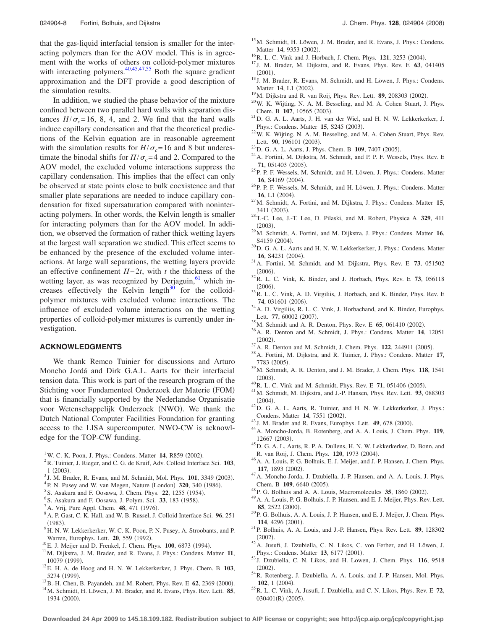that the gas-liquid interfacial tension is smaller for the interacting polymers than for the AOV model. This is in agreement with the works of others on colloid-polymer mixtures with interacting polymers. $40,45,47,55$  $40,45,47,55$  $40,45,47,55$  $40,45,47,55$  Both the square gradient approximation and the DFT provide a good description of the simulation results.

In addition, we studied the phase behavior of the mixture confined between two parallel hard walls with separation distances  $H/\sigma_c = 16$ , 8, 4, and 2. We find that the hard walls induce capillary condensation and that the theoretical predictions of the Kelvin equation are in reasonable agreement with the simulation results for  $H/\sigma_c = 16$  and 8 but underestimate the binodal shifts for  $H/\sigma_c = 4$  and 2. Compared to the AOV model, the excluded volume interactions suppress the capillary condensation. This implies that the effect can only be observed at state points close to bulk coexistence and that smaller plate separations are needed to induce capillary condensation for fixed supersaturation compared with noninteracting polymers. In other words, the Kelvin length is smaller for interacting polymers than for the AOV model. In addition, we observed the formation of rather thick wetting layers at the largest wall separation we studied. This effect seems to be enhanced by the presence of the excluded volume interactions. At large wall separations, the wetting layers provide an effective confinement *H*− 2*t*, with *t* the thickness of the wetting layer, as was recognized by Derjaguin, $61$  which increases effectively the Kelvin length $30$  for the colloidpolymer mixtures with excluded volume interactions. The influence of excluded volume interactions on the wetting properties of colloid-polymer mixtures is currently under investigation.

#### **ACKNOWLEDGMENTS**

We thank Remco Tuinier for discussions and Arturo Moncho Jordá and Dirk G.A.L. Aarts for their interfacial tension data. This work is part of the research program of the Stichting voor Fundamenteel Onderzoek der Materie (FOM) that is financially supported by the Nederlandse Organisatie voor Wetenschappelijk Onderzoek (NWO). We thank the Dutch National Computer Facilities Foundation for granting access to the LISA supercomputer. NWO-CW is acknowledge for the TOP-CW funding.

- <span id="page-8-0"></span><sup>1</sup>W. C. K. Poon, J. Phys.: Condens. Matter **14**, R859 (2002).
- R. Tuinier, J. Rieger, and C. G. de Kruif, Adv. Colloid Interface Sci. **103**,  $1(2003).$ 1 (2003).<br><sup>3</sup> J. M. Brader, R. Evans, and M. Schmidt, Mol. Phys. **101**, 3349 (2003).<br><sup>4</sup> P. N. Busay, and W. van Mason, Natura (London), **320**, 340 (1086).
- <span id="page-8-1"></span>
- <span id="page-8-2"></span><sup>4</sup> P. N. Pusey and W. van Megen, Nature (London) **320**, 340 (1986).
- <span id="page-8-3"></span>S. Asakura and F. Oosawa, J. Chem. Phys. **22**, 1255 (1954).
- <sup>6</sup> S. Asakura and F. Oosawa, J. Polym. Sci. **33**, 183 (1958).
- <span id="page-8-4"></span><sup> $\prime$ </sup>A. Vrij, Pure Appl. Chem. **48**, 471 (1976).
- <span id="page-8-5"></span>A. P. Gast, C. K. Hall, and W. B. Russel, J. Colloid Interface Sci. **96**, 251  $(1983)$
- <span id="page-8-23"></span>. <sup>9</sup> H. N. W. Lekkerkerker, W. C. K. Poon, P. N. Pusey, A. Stroobants, and P. Warren, Europhys. Lett. **20**, 559 (1992).
- <sup>10</sup>E. J. Meijer and D. Frenkel, J. Chem. Phys. **100**, 6873 (1994).
- <sup>11</sup>M. Dijkstra, J. M. Brader, and R. Evans, J. Phys.: Condens. Matter 11, 10079 (1999).
- <span id="page-8-34"></span>. 12E. H. A. de Hoog and H. N. W. Lekkerkerker, J. Phys. Chem. B **<sup>103</sup>**, 5274 (1999).
- <sup>13</sup> B.-H. Chen, B. Payandeh, and M. Robert, Phys. Rev. E **62**, 2369 (2000).
- <sup>14</sup> M. Schmidt, H. Löwen, J. M. Brader, and R. Evans, Phys. Rev. Lett. 85, 1934 (2000).
- <sup>15</sup>M. Schmidt, H. Löwen, J. M. Brader, and R. Evans, J. Phys.: Condens. Matter **14**, 9353 (2002).
- <span id="page-8-6"></span><sup>16</sup> R. L. C. Vink and J. Horbach, J. Chem. Phys. **121**, 3253 (2004).
- <span id="page-8-7"></span>. <sup>17</sup> J. M. Brader, M. Dijkstra, and R. Evans, Phys. Rev. E **<sup>63</sup>**, 041405  $(2001).$
- <sup>18</sup> J. M. Brader, R. Evans, M. Schmidt, and H. Löwen, J. Phys.: Condens. Matter **14**, L1 (2002).
- <sup>19</sup> M. Dijkstra and R. van Roij, Phys. Rev. Lett. **89**, 208303 (2002).
- $20$ W. K. Wijting, N. A. M. Besseling, and M. A. Cohen Stuart, J. Phys. Chem. B 107, 10565 (2003).
- <span id="page-8-35"></span> $^{21}$ D. G. A. L. Aarts, J. H. van der Wiel, and H. N. W. Lekkerkerker, J. Phys.: Condens. Matter 15, S245 (2003).
- <span id="page-8-8"></span> $22$ W. K. Wijting, N. A. M. Besseling, and M. A. Cohen Stuart, Phys. Rev. Lett. 90, 196101 (2003).
- <span id="page-8-9"></span><sup>23</sup>D. G. A. L. Aarts, J. Phys. Chem. B **109**, 7407 (2005).
- <span id="page-8-10"></span><sup>24</sup> A. Fortini, M. Dijkstra, M. Schmidt, and P. P. F. Wessels, Phys. Rev. E 71, 051403 (2005).
- <span id="page-8-18"></span><sup>25</sup>P. P. F. Wessels, M. Schmidt, and H. Löwen, J. Phys.: Condens. Matter 16, S4169 (2004).
- <span id="page-8-11"></span><sup>26</sup>P. P. F. Wessels, M. Schmidt, and H. Löwen, J. Phys.: Condens. Matter 16, L1 (2004).
- <span id="page-8-12"></span>. 27M. Schmidt, A. Fortini, and M. Dijkstra, J. Phys.: Condens. Matter **<sup>15</sup>**, 3411 (2003).
- . 28T.-C. Lee, J.-T. Lee, D. Pilaski, and M. Robert, Physica A **<sup>329</sup>**, 411  $(2003).$
- . 29M. Schmidt, A. Fortini, and M. Dijkstra, J. Phys.: Condens. Matter **<sup>16</sup>**, S4159 (2004).
- <span id="page-8-38"></span><sup>30</sup>D. G. A. L. Aarts and H. N. W. Lekkerkerker, J. Phys.: Condens. Matter 16, S4231 (2004).
- <span id="page-8-36"></span>. 31A. Fortini, M. Schmidt, and M. Dijkstra, Phys. Rev. E **<sup>73</sup>**, 051502  $(2006).$
- $^{32}$ R. L. C. Vink, K. Binder, and J. Horbach, Phys. Rev. E **73**, 056118  $(2006).$
- $^{33}$ R. L. C. Vink, A. D. Virgiliis, J. Horbach, and K. Binder, Phys. Rev. E 74, 031601 (2006).
- <span id="page-8-13"></span><sup>34</sup> A. D. Virgiliis, R. L. C. Vink, J. Horbachand, and K. Binder, Europhys. Lett. 77, 60002 (2007).
- <span id="page-8-14"></span><sup>35</sup> M. Schmidt and A. R. Denton, Phys. Rev. E **65**, 061410 (2002).
- <span id="page-8-15"></span>. 36A. R. Denton and M. Schmidt, J. Phys.: Condens. Matter **<sup>14</sup>**, 12051  $(2002).$
- <span id="page-8-16"></span> $^{37}$ A. R. Denton and M. Schmidt, J. Chem. Phys. **122**, 244911 (2005).
- <span id="page-8-17"></span>. 38A. Fortini, M. Dijkstra, and R. Tuinier, J. Phys.: Condens. Matter **<sup>17</sup>**, 7783 (2005).
- <span id="page-8-19"></span>. 39M. Schmidt, A. R. Denton, and J. M. Brader, J. Chem. Phys. **<sup>118</sup>**, 1541  $(2003).$
- <span id="page-8-20"></span>40 R. L. C. Vink and M. Schmidt, Phys. Rev. E **71**, 051406 (2005).
- <span id="page-8-21"></span>. 41M. Schmidt, M. Dijkstra, and J.-P. Hansen, Phys. Rev. Lett. **<sup>93</sup>**, 088303  $(2004).$
- <span id="page-8-22"></span><sup>42</sup>D. G. A. L. Aarts, R. Tuinier, and H. N. W. Lekkerkerker, J. Phys.: Condens. Matter 14, 7551 (2002).
- <sup>43</sup> J. M. Brader and R. Evans, Europhys. Lett. **49**, 678 (2000).
- <span id="page-8-37"></span>. 44A. Moncho-Jorda, B. Rotenberg, and A. A. Louis, J. Chem. Phys. **<sup>119</sup>**, 12667 (2003).
- <span id="page-8-24"></span>. 45D. G. A. L. Aarts, R. P. A. Dullens, H. N. W. Lekkerkerker, D. Bonn, and R. van Roij, J. Chem. Phys. **120**, 1973 (2004).
- <span id="page-8-25"></span><sup>46</sup> A. A. Louis, P. G. Bolhuis, E. J. Meijer, and J.-P. Hansen, J. Chem. Phys. **117**, 1893 (2002).
- <span id="page-8-26"></span><sup>47</sup> A. Moncho-Jorda, J. Dzubiella, J.-P. Hansen, and A. A. Louis, J. Phys. Chem. B 109, 6640 (2005).
- <span id="page-8-27"></span><sup>48</sup> P. G. Bolhuis and A. A. Louis, Macromolecules 35, 1860 (2002).
- <sup>49</sup> A. A. Louis, P. G. Bolhuis, J. P. Hansen, and E. J. Meijer, Phys. Rev. Lett. 85, 2522 (2000).
- <span id="page-8-28"></span><sup>50</sup>P. G. Bolhuis, A. A. Louis, J. P. Hansen, and E. J. Meijer, J. Chem. Phys. **114**, 4296 (2001).
- <span id="page-8-29"></span>. 51P. Bolhuis, A. A. Louis, and J.-P. Hansen, Phys. Rev. Lett. **<sup>89</sup>**, 128302  $(2002).$
- <span id="page-8-30"></span>. 52A. Jusufi, J. Dzubiella, C. N. Likos, C. von Ferber, and H. Löwen, J. Phys.: Condens. Matter **13**, 6177 (2001).
- <span id="page-8-31"></span>. <sup>53</sup> J. Dzubiella, C. N. Likos, and H. Lowen, J. Chem. Phys. **<sup>116</sup>**, 9518  $(2002).$
- <span id="page-8-32"></span><sup>54</sup> R. Rotenberg, J. Dzubiella, A. A. Louis, and J.-P. Hansen, Mol. Phys. **102**, 1 (2004).
- <span id="page-8-33"></span>. 55R. L. C. Vink, A. Jusufi, J. Dzubiella, and C. N. Likos, Phys. Rev. E **<sup>72</sup>**, 030401(R) (2005).